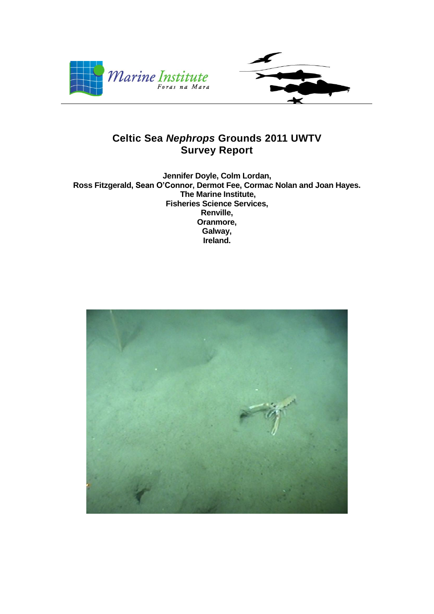

# **Celtic Sea** *Nephrops* **Grounds 2011 UWTV Survey Report**

**Jennifer Doyle, Colm Lordan, Ross Fitzgerald, Sean O'Connor, Dermot Fee, Cormac Nolan and Joan Hayes. The Marine Institute, Fisheries Science Services, Renville, Oranmore, Galway, Ireland.**

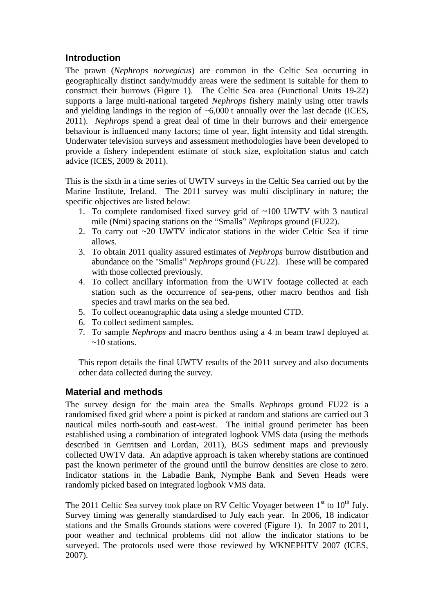## **Introduction**

The prawn (*Nephrops norvegicus*) are common in the Celtic Sea occurring in geographically distinct sandy/muddy areas were the sediment is suitable for them to construct their burrows (Figure 1). The Celtic Sea area (Functional Units 19-22) supports a large multi-national targeted *Nephrops* fishery mainly using otter trawls and yielding landings in the region of  $\sim 6,000$  t annually over the last decade (ICES, 2011). *Nephrops* spend a great deal of time in their burrows and their emergence behaviour is influenced many factors; time of year, light intensity and tidal strength. Underwater television surveys and assessment methodologies have been developed to provide a fishery independent estimate of stock size, exploitation status and catch advice (ICES, 2009 & 2011).

This is the sixth in a time series of UWTV surveys in the Celtic Sea carried out by the Marine Institute, Ireland. The 2011 survey was multi disciplinary in nature; the specific objectives are listed below:

- 1. To complete randomised fixed survey grid of ~100 UWTV with 3 nautical mile (Nmi) spacing stations on the "Smalls" *Nephrops* ground (FU22).
- 2. To carry out ~20 UWTV indicator stations in the wider Celtic Sea if time allows.
- 3. To obtain 2011 quality assured estimates of *Nephrops* burrow distribution and abundance on the "Smalls" *Nephrops* ground (FU22). These will be compared with those collected previously.
- 4. To collect ancillary information from the UWTV footage collected at each station such as the occurrence of sea-pens, other macro benthos and fish species and trawl marks on the sea bed.
- 5. To collect oceanographic data using a sledge mounted CTD.
- 6. To collect sediment samples.
- 7. To sample *Nephrops* and macro benthos using a 4 m beam trawl deployed at  $\approx 10$  stations.

This report details the final UWTV results of the 2011 survey and also documents other data collected during the survey.

### **Material and methods**

The survey design for the main area the Smalls *Nephrops* ground FU22 is a randomised fixed grid where a point is picked at random and stations are carried out 3 nautical miles north-south and east-west. The initial ground perimeter has been established using a combination of integrated logbook VMS data (using the methods described in Gerritsen and Lordan, 2011), BGS sediment maps and previously collected UWTV data. An adaptive approach is taken whereby stations are continued past the known perimeter of the ground until the burrow densities are close to zero. Indicator stations in the Labadie Bank, Nymphe Bank and Seven Heads were randomly picked based on integrated logbook VMS data.

The 2011 Celtic Sea survey took place on RV Celtic Voyager between  $1<sup>st</sup>$  to  $10<sup>th</sup>$  July. Survey timing was generally standardised to July each year. In 2006, 18 indicator stations and the Smalls Grounds stations were covered (Figure 1). In 2007 to 2011, poor weather and technical problems did not allow the indicator stations to be surveyed. The protocols used were those reviewed by WKNEPHTV 2007 (ICES, 2007).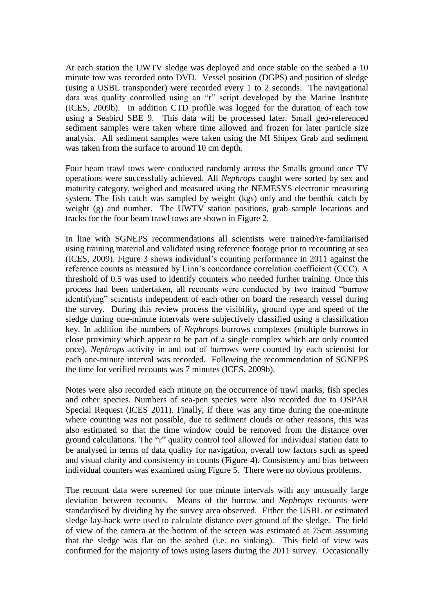At each station the UWTV sledge was deployed and once stable on the seabed a 10 minute tow was recorded onto DVD. Vessel position (DGPS) and position of sledge (using a USBL transponder) were recorded every 1 to 2 seconds. The navigational data was quality controlled using an "r" script developed by the Marine Institute (ICES, 2009b). In addition CTD profile was logged for the duration of each tow using a Seabird SBE 9. This data will be processed later. Small geo-referenced sediment samples were taken where time allowed and frozen for later particle size analysis. All sediment samples were taken using the MI Shipex Grab and sediment was taken from the surface to around 10 cm depth.

Four beam trawl tows were conducted randomly across the Smalls ground once TV operations were successfully achieved. All *Nephrops* caught were sorted by sex and maturity category, weighed and measured using the NEMESYS electronic measuring system. The fish catch was sampled by weight (kgs) only and the benthic catch by weight (g) and number. The UWTV station positions, grab sample locations and tracks for the four beam trawl tows are shown in Figure 2.

In line with SGNEPS recommendations all scientists were trained/re-familiarised using training material and validated using reference footage prior to recounting at sea (ICES, 2009). Figure 3 shows individual's counting performance in 2011 against the reference counts as measured by Linn's concordance correlation coefficient (CCC). A threshold of 0.5 was used to identify counters who needed further training. Once this process had been undertaken, all recounts were conducted by two trained "burrow identifying" scientists independent of each other on board the research vessel during the survey. During this review process the visibility, ground type and speed of the sledge during one-minute intervals were subjectively classified using a classification key. In addition the numbers of *Nephrops* burrows complexes (multiple burrows in close proximity which appear to be part of a single complex which are only counted once), *Nephrops* activity in and out of burrows were counted by each scientist for each one-minute interval was recorded. Following the recommendation of SGNEPS the time for verified recounts was 7 minutes (ICES, 2009b).

Notes were also recorded each minute on the occurrence of trawl marks, fish species and other species. Numbers of sea-pen species were also recorded due to OSPAR Special Request (ICES 2011). Finally, if there was any time during the one-minute where counting was not possible, due to sediment clouds or other reasons, this was also estimated so that the time window could be removed from the distance over ground calculations. The "r" quality control tool allowed for individual station data to be analysed in terms of data quality for navigation, overall tow factors such as speed and visual clarity and consistency in counts (Figure 4). Consistency and bias between individual counters was examined using Figure 5. There were no obvious problems.

The recount data were screened for one minute intervals with any unusually large deviation between recounts. Means of the burrow and *Nephrops* recounts were standardised by dividing by the survey area observed. Either the USBL or estimated sledge lay-back were used to calculate distance over ground of the sledge. The field of view of the camera at the bottom of the screen was estimated at 75cm assuming that the sledge was flat on the seabed (i.e. no sinking). This field of view was confirmed for the majority of tows using lasers during the 2011 survey. Occasionally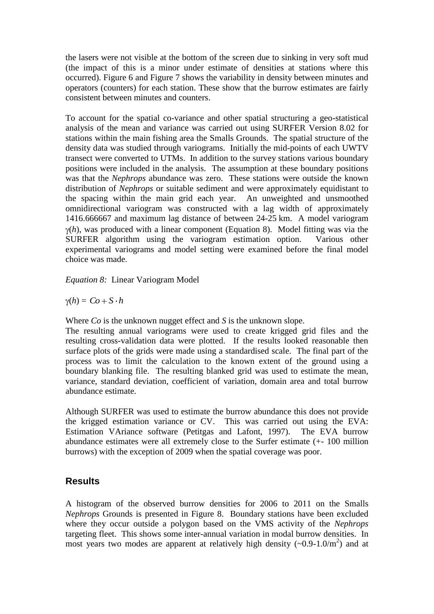the lasers were not visible at the bottom of the screen due to sinking in very soft mud (the impact of this is a minor under estimate of densities at stations where this occurred). Figure 6 and Figure 7 shows the variability in density between minutes and operators (counters) for each station. These show that the burrow estimates are fairly consistent between minutes and counters.

To account for the spatial co-variance and other spatial structuring a geo-statistical analysis of the mean and variance was carried out using SURFER Version 8.02 for stations within the main fishing area the Smalls Grounds. The spatial structure of the density data was studied through variograms. Initially the mid-points of each UWTV transect were converted to UTMs. In addition to the survey stations various boundary positions were included in the analysis. The assumption at these boundary positions was that the *Nephrops* abundance was zero. These stations were outside the known distribution of *Nephrops* or suitable sediment and were approximately equidistant to the spacing within the main grid each year. An unweighted and unsmoothed omnidirectional variogram was constructed with a lag width of approximately 1416.666667 and maximum lag distance of between 24-25 km. A model variogram  $v(h)$ , was produced with a linear component (Equation 8). Model fitting was via the SURFER algorithm using the variogram estimation option. Various other experimental variograms and model setting were examined before the final model choice was made.

*Equation 8:* Linear Variogram Model

 $(h) = Co + S \cdot h$ 

Where *Co* is the unknown nugget effect and *S* is the unknown slope.

The resulting annual variograms were used to create krigged grid files and the resulting cross-validation data were plotted. If the results looked reasonable then surface plots of the grids were made using a standardised scale. The final part of the process was to limit the calculation to the known extent of the ground using a boundary blanking file. The resulting blanked grid was used to estimate the mean, variance, standard deviation, coefficient of variation, domain area and total burrow abundance estimate.

Although SURFER was used to estimate the burrow abundance this does not provide the krigged estimation variance or CV. This was carried out using the EVA: Estimation VAriance software (Petitgas and Lafont, 1997). The EVA burrow abundance estimates were all extremely close to the Surfer estimate (+- 100 million burrows) with the exception of 2009 when the spatial coverage was poor.

### **Results**

A histogram of the observed burrow densities for 2006 to 2011 on the Smalls *Nephrops* Grounds is presented in Figure 8. Boundary stations have been excluded where they occur outside a polygon based on the VMS activity of the *Nephrops* targeting fleet. This shows some inter-annual variation in modal burrow densities. In most years two modes are apparent at relatively high density  $(\sim 0.9 - 1.0/m^2)$  and at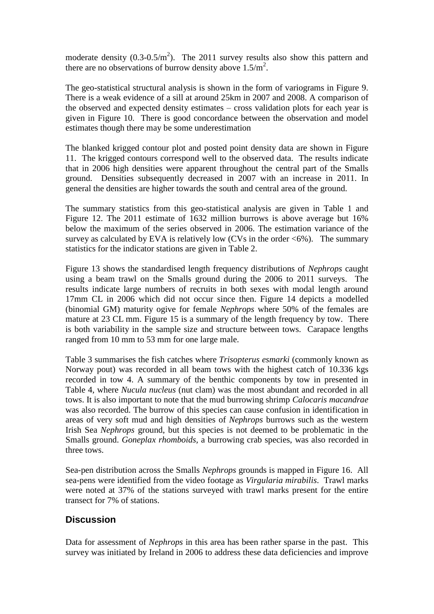moderate density  $(0.3{\text -}0.5/m^2)$ . The 2011 survey results also show this pattern and there are no observations of burrow density above  $1.5/m^2$ .

The geo-statistical structural analysis is shown in the form of variograms in Figure 9. There is a weak evidence of a sill at around 25km in 2007 and 2008. A comparison of the observed and expected density estimates – cross validation plots for each year is given in Figure 10. There is good concordance between the observation and model estimates though there may be some underestimation

The blanked krigged contour plot and posted point density data are shown in Figure 11. The krigged contours correspond well to the observed data. The results indicate that in 2006 high densities were apparent throughout the central part of the Smalls ground. Densities subsequently decreased in 2007 with an increase in 2011. In general the densities are higher towards the south and central area of the ground.

The summary statistics from this geo-statistical analysis are given in Table 1 and Figure 12. The 2011 estimate of 1632 million burrows is above average but 16% below the maximum of the series observed in 2006. The estimation variance of the survey as calculated by EVA is relatively low (CVs in the order  $\langle 6\% \rangle$ ). The summary statistics for the indicator stations are given in Table 2.

Figure 13 shows the standardised length frequency distributions of *Nephrops* caught using a beam trawl on the Smalls ground during the 2006 to 2011 surveys. The results indicate large numbers of recruits in both sexes with modal length around 17mm CL in 2006 which did not occur since then. Figure 14 depicts a modelled (binomial GM) maturity ogive for female *Nephrops* where 50% of the females are mature at 23 CL mm. Figure 15 is a summary of the length frequency by tow. There is both variability in the sample size and structure between tows. Carapace lengths ranged from 10 mm to 53 mm for one large male.

Table 3 summarises the fish catches where *Trisopterus esmarki* (commonly known as Norway pout) was recorded in all beam tows with the highest catch of 10.336 kgs recorded in tow 4. A summary of the benthic components by tow in presented in Table 4, where *Nucula nucleus* (nut clam) was the most abundant and recorded in all tows. It is also important to note that the mud burrowing shrimp *Calocaris macandrae* was also recorded. The burrow of this species can cause confusion in identification in areas of very soft mud and high densities of *Nephrops* burrows such as the western Irish Sea *Nephrops* ground, but this species is not deemed to be problematic in the Smalls ground. *Goneplax rhomboids,* a burrowing crab species, was also recorded in three tows.

Sea-pen distribution across the Smalls *Nephrops* grounds is mapped in Figure 16. All sea-pens were identified from the video footage as *Virgularia mirabilis*. Trawl marks were noted at 37% of the stations surveyed with trawl marks present for the entire transect for 7% of stations.

### **Discussion**

Data for assessment of *Nephrops* in this area has been rather sparse in the past. This survey was initiated by Ireland in 2006 to address these data deficiencies and improve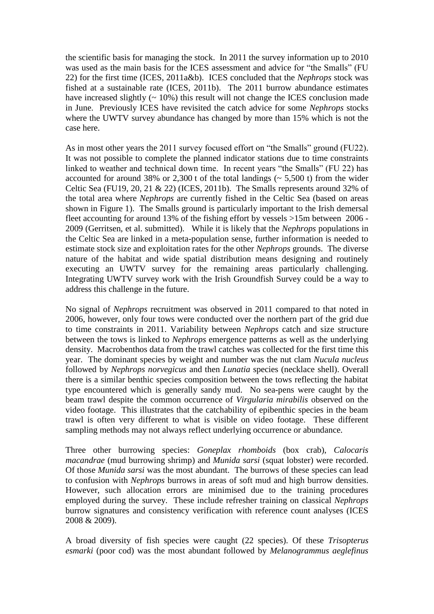the scientific basis for managing the stock. In 2011 the survey information up to 2010 was used as the main basis for the ICES assessment and advice for "the Smalls" (FU 22) for the first time (ICES, 2011a&b). ICES concluded that the *Nephrops* stock was fished at a sustainable rate (ICES, 2011b). The 2011 burrow abundance estimates have increased slightly  $($   $\sim$  10%) this result will not change the ICES conclusion made in June. Previously ICES have revisited the catch advice for some *Nephrops* stocks where the UWTV survey abundance has changed by more than 15% which is not the case here.

As in most other years the 2011 survey focused effort on "the Smalls" ground (FU22). It was not possible to complete the planned indicator stations due to time constraints linked to weather and technical down time. In recent years "the Smalls" (FU 22) has accounted for around 38% or 2,300 t of the total landings ( $\sim$  5,500 t) from the wider Celtic Sea (FU19, 20, 21  $\&$  22) (ICES, 2011b). The Smalls represents around 32% of the total area where *Nephrops* are currently fished in the Celtic Sea (based on areas shown in Figure 1). The Smalls ground is particularly important to the Irish demersal fleet accounting for around 13% of the fishing effort by vessels >15m between 2006 - 2009 (Gerritsen, et al. submitted). While it is likely that the *Nephrops* populations in the Celtic Sea are linked in a meta-population sense, further information is needed to estimate stock size and exploitation rates for the other *Nephrops* grounds. The diverse nature of the habitat and wide spatial distribution means designing and routinely executing an UWTV survey for the remaining areas particularly challenging. Integrating UWTV survey work with the Irish Groundfish Survey could be a way to address this challenge in the future.

No signal of *Nephrops* recruitment was observed in 2011 compared to that noted in 2006, however, only four tows were conducted over the northern part of the grid due to time constraints in 2011. Variability between *Nephrops* catch and size structure between the tows is linked to *Nephrops* emergence patterns as well as the underlying density. Macrobenthos data from the trawl catches was collected for the first time this year. The dominant species by weight and number was the nut clam *Nucula nucleus* followed by *Nephrops norvegicus* and then *Lunatia* species (necklace shell). Overall there is a similar benthic species composition between the tows reflecting the habitat type encountered which is generally sandy mud. No sea-pens were caught by the beam trawl despite the common occurrence of *Virgularia mirabilis* observed on the video footage. This illustrates that the catchability of epibenthic species in the beam trawl is often very different to what is visible on video footage. These different sampling methods may not always reflect underlying occurrence or abundance.

Three other burrowing species: *Goneplax rhomboids* (box crab), *Calocaris macandrae* (mud burrowing shrimp) and *Munida sarsi* (squat lobster) were recorded. Of those *Munida sarsi* was the most abundant. The burrows of these species can lead to confusion with *Nephrops* burrows in areas of soft mud and high burrow densities. However, such allocation errors are minimised due to the training procedures employed during the survey. These include refresher training on classical *Nephrops* burrow signatures and consistency verification with reference count analyses (ICES 2008 & 2009).

A broad diversity of fish species were caught (22 species). Of these *Trisopterus esmarki* (poor cod) was the most abundant followed by *Melanogrammus aeglefinus*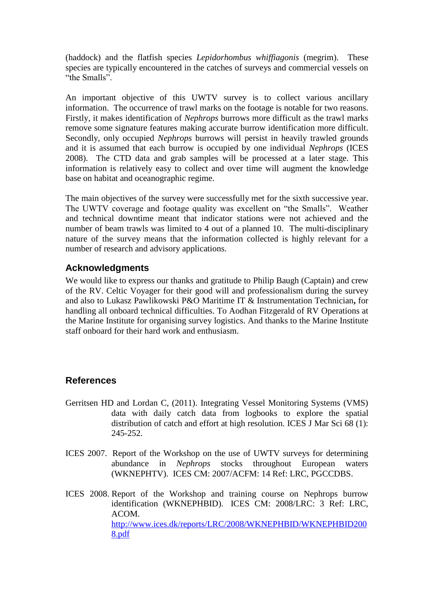(haddock) and the flatfish species *Lepidorhombus whiffiagonis* (megrim). These species are typically encountered in the catches of surveys and commercial vessels on "the Smalls".

An important objective of this UWTV survey is to collect various ancillary information. The occurrence of trawl marks on the footage is notable for two reasons. Firstly, it makes identification of *Nephrops* burrows more difficult as the trawl marks remove some signature features making accurate burrow identification more difficult. Secondly, only occupied *Nephrops* burrows will persist in heavily trawled grounds and it is assumed that each burrow is occupied by one individual *Nephrops* (ICES 2008). The CTD data and grab samples will be processed at a later stage. This information is relatively easy to collect and over time will augment the knowledge base on habitat and oceanographic regime.

The main objectives of the survey were successfully met for the sixth successive year. The UWTV coverage and footage quality was excellent on "the Smalls". Weather and technical downtime meant that indicator stations were not achieved and the number of beam trawls was limited to 4 out of a planned 10. The multi-disciplinary nature of the survey means that the information collected is highly relevant for a number of research and advisory applications.

#### **Acknowledgments**

We would like to express our thanks and gratitude to Philip Baugh (Captain) and crew of the RV. Celtic Voyager for their good will and professionalism during the survey and also to Lukasz Pawlikowski P&O Maritime IT & Instrumentation Technician**,** for handling all onboard technical difficulties. To Aodhan Fitzgerald of RV Operations at the Marine Institute for organising survey logistics. And thanks to the Marine Institute staff onboard for their hard work and enthusiasm.

### **References**

- Gerritsen HD and Lordan C, (2011). Integrating Vessel Monitoring Systems (VMS) data with daily catch data from logbooks to explore the spatial distribution of catch and effort at high resolution. ICES J Mar Sci 68 (1): 245-252.
- ICES 2007. Report of the Workshop on the use of UWTV surveys for determining abundance in *Nephrops* stocks throughout European waters (WKNEPHTV). ICES CM: 2007/ACFM: 14 Ref: LRC, PGCCDBS.
- ICES 2008. Report of the Workshop and training course on Nephrops burrow identification (WKNEPHBID). ICES CM: 2008/LRC: 3 Ref: LRC, ACOM. [http://www.ices.dk/reports/LRC/2008/WKNEPHBID/WKNEPHBID200](http://www.ices.dk/reports/LRC/2008/WKNEPHBID/WKNEPHBID2008.pdf) [8.pdf](http://www.ices.dk/reports/LRC/2008/WKNEPHBID/WKNEPHBID2008.pdf)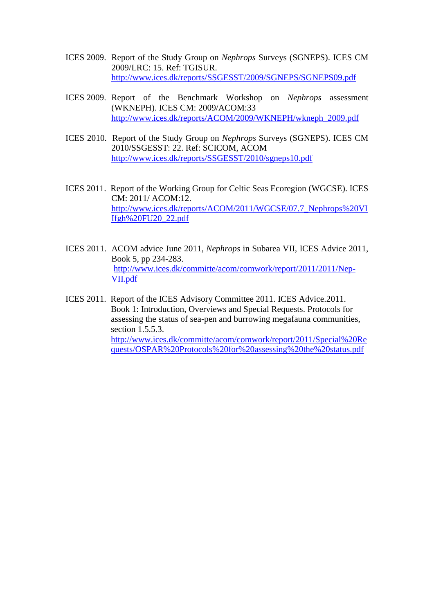- ICES 2009. Report of the Study Group on *Nephrops* Surveys (SGNEPS). ICES CM 2009/LRC: 15. Ref: TGISUR. <http://www.ices.dk/reports/SSGESST/2009/SGNEPS/SGNEPS09.pdf>
- ICES 2009. Report of the Benchmark Workshop on *Nephrops* assessment (WKNEPH). ICES CM: 2009/ACOM:33 [http://www.ices.dk/reports/ACOM/2009/WKNEPH/wkneph\\_2009.pdf](http://www.ices.dk/reports/ACOM/2009/WKNEPH/wkneph_2009.pdf)
- ICES 2010. Report of the Study Group on *Nephrops* Surveys (SGNEPS). ICES CM 2010/SSGESST: 22. Ref: SCICOM, ACOM <http://www.ices.dk/reports/SSGESST/2010/sgneps10.pdf>
- ICES 2011. Report of the Working Group for Celtic Seas Ecoregion (WGCSE). ICES CM: 2011/ ACOM:12. [http://www.ices.dk/reports/ACOM/2011/WGCSE/07.7\\_Nephrops%20VI](http://www.ices.dk/reports/ACOM/2011/WGCSE/07.7_Nephrops%20VIIfgh%20FU20_22.pdf) [Ifgh%20FU20\\_22.pdf](http://www.ices.dk/reports/ACOM/2011/WGCSE/07.7_Nephrops%20VIIfgh%20FU20_22.pdf)
- ICES 2011. ACOM advice June 2011, *Nephrops* in Subarea VII, ICES Advice 2011, Book 5, pp 234-283. [http://www.ices.dk/committe/acom/comwork/report/2011/2011/Nep-](http://www.ices.dk/committe/acom/comwork/report/2011/2011/Nep-VII.pdf)[VII.pdf](http://www.ices.dk/committe/acom/comwork/report/2011/2011/Nep-VII.pdf)
- ICES 2011. Report of the ICES Advisory Committee 2011. ICES Advice.2011. Book 1: Introduction, Overviews and Special Requests. Protocols for assessing the status of sea-pen and burrowing megafauna communities, section 1.5.5.3. [http://www.ices.dk/committe/acom/comwork/report/2011/Special%20Re](http://www.ices.dk/committe/acom/comwork/report/2011/Special%20Requests/OSPAR%20Protocols%20for%20assessing%20the%20status.pdf) [quests/OSPAR%20Protocols%20for%20assessing%20the%20status.pdf](http://www.ices.dk/committe/acom/comwork/report/2011/Special%20Requests/OSPAR%20Protocols%20for%20assessing%20the%20status.pdf)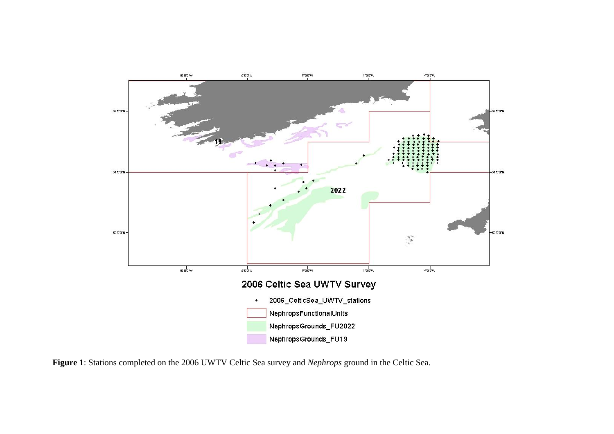

**Figure 1**: Stations completed on the 2006 UWTV Celtic Sea survey and *Nephrops* ground in the Celtic Sea.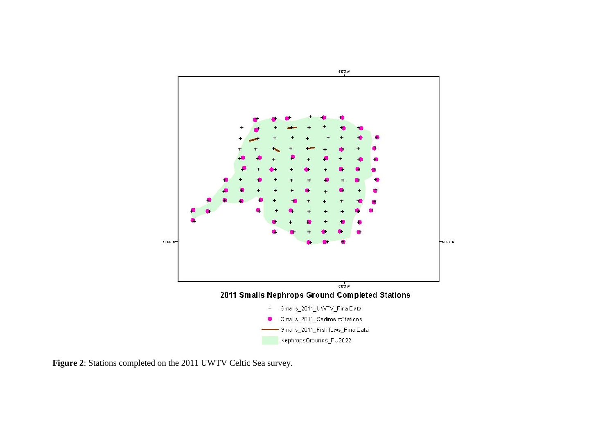

**Figure 2**: Stations completed on the 2011 UWTV Celtic Sea survey.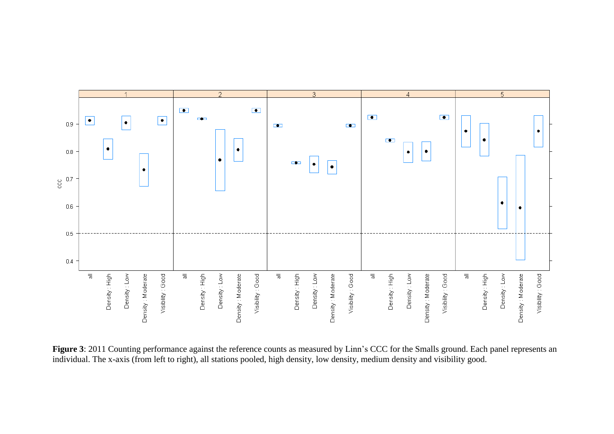

Figure 3: 2011 Counting performance against the reference counts as measured by Linn's CCC for the Smalls ground. Each panel represents an individual. The x-axis (from left to right), all stations pooled, high density, low density, medium density and visibility good.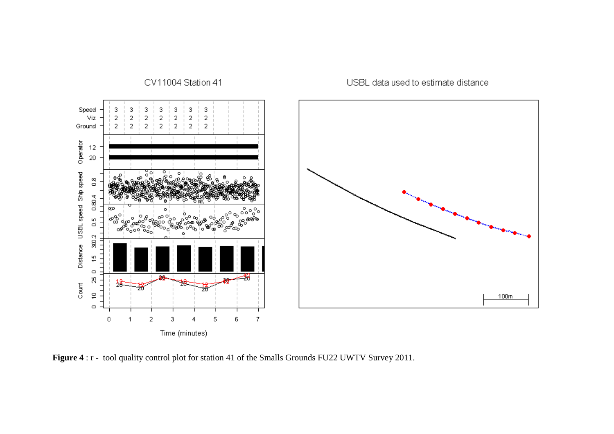

**Figure 4** : r - tool quality control plot for station 41 of the Smalls Grounds FU22 UWTV Survey 2011.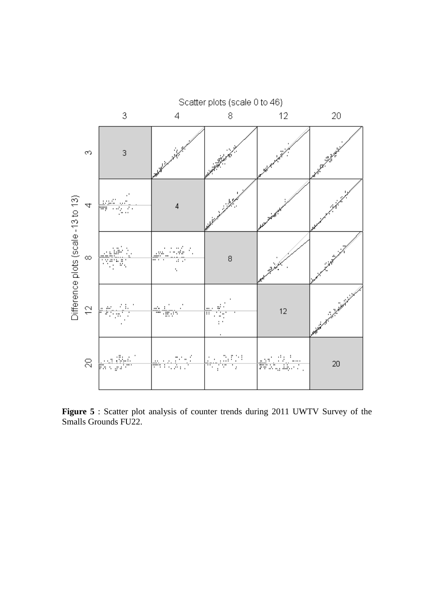

**Figure 5** : Scatter plot analysis of counter trends during 2011 UWTV Survey of the Smalls Grounds FU22.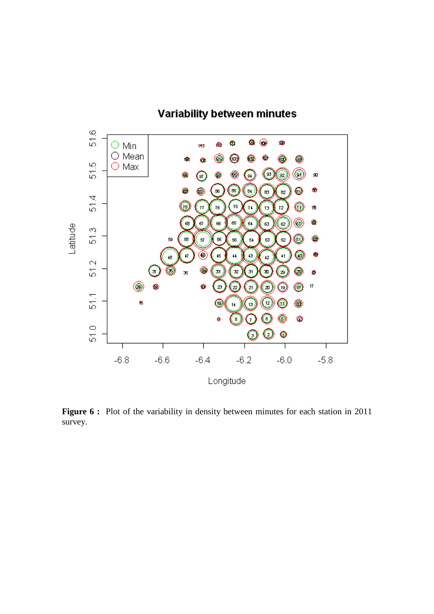

**Figure 6 :** Plot of the variability in density between minutes for each station in 2011 survey.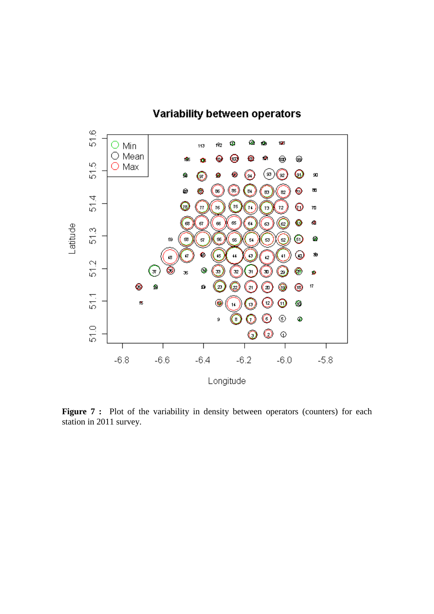

**Figure 7 :** Plot of the variability in density between operators (counters) for each station in 2011 survey.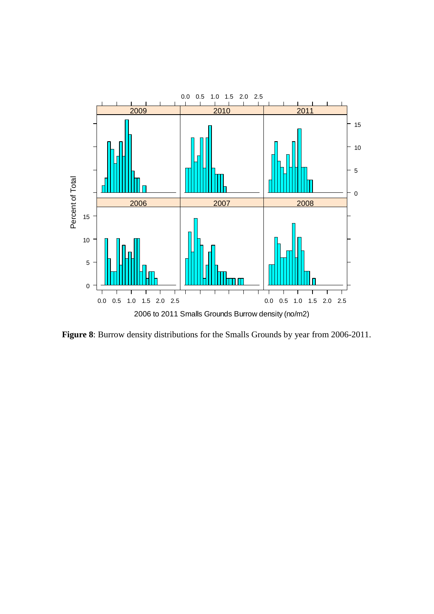

**Figure 8**: Burrow density distributions for the Smalls Grounds by year from 2006-2011.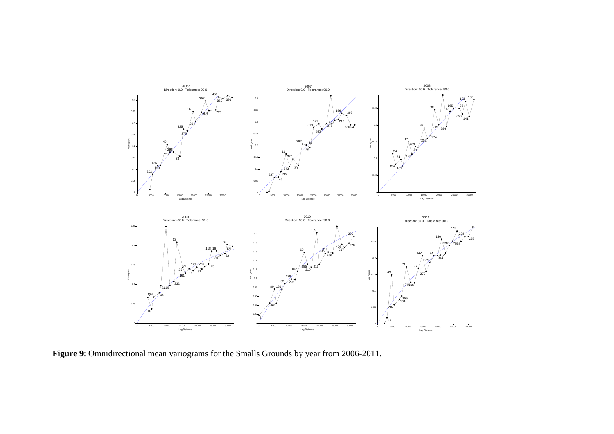

**Figure 9**: Omnidirectional mean variograms for the Smalls Grounds by year from 2006-2011.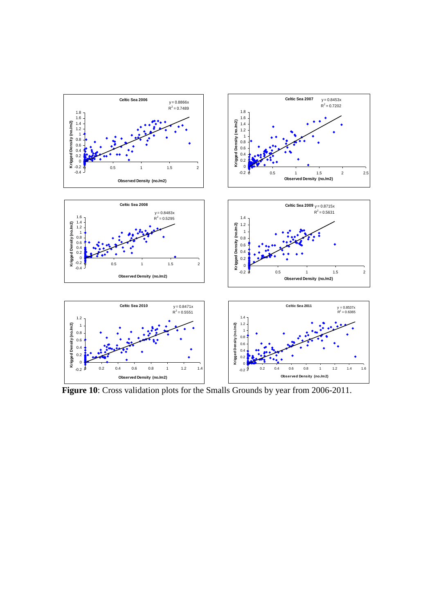

**Figure 10**: Cross validation plots for the Smalls Grounds by year from 2006-2011.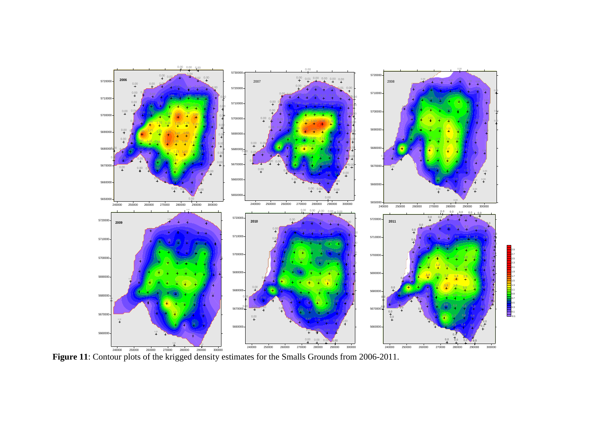

**Figure 11**: Contour plots of the krigged density estimates for the Smalls Grounds from 2006-2011.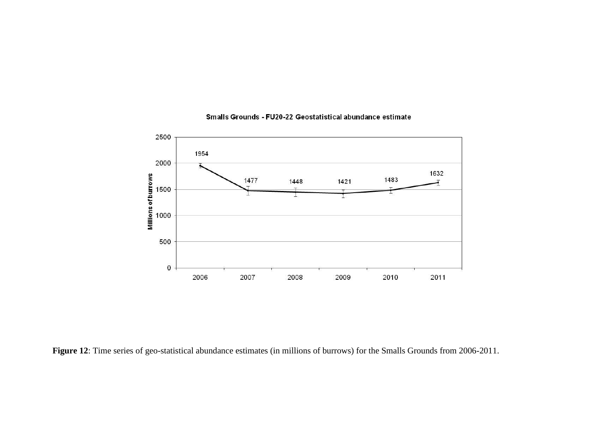

#### Smalls Grounds - FU20-22 Geostatistical abundance estimate

**Figure 12**: Time series of geo-statistical abundance estimates (in millions of burrows) for the Smalls Grounds from 2006-2011.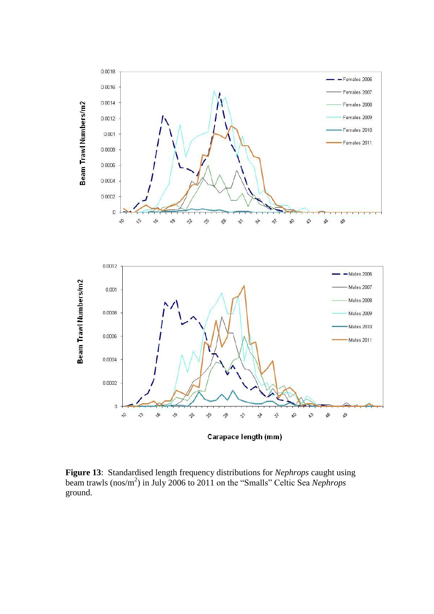

**Figure 13**: Standardised length frequency distributions for *Nephrops* caught using beam trawls (nos/m<sup>2</sup> ) in July 2006 to 2011 on the "Smalls" Celtic Sea *Nephrops* ground.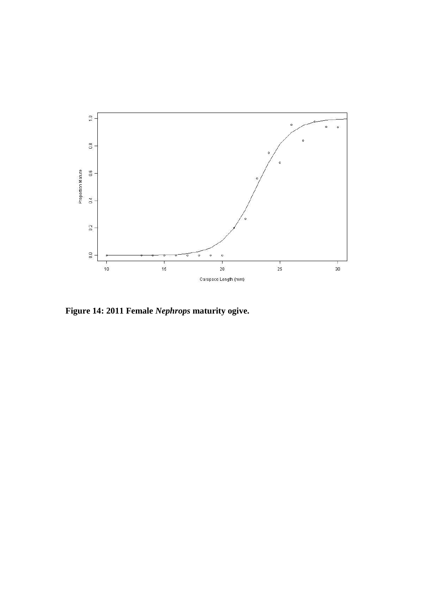

**Figure 14: 2011 Female** *Nephrops* **maturity ogive.**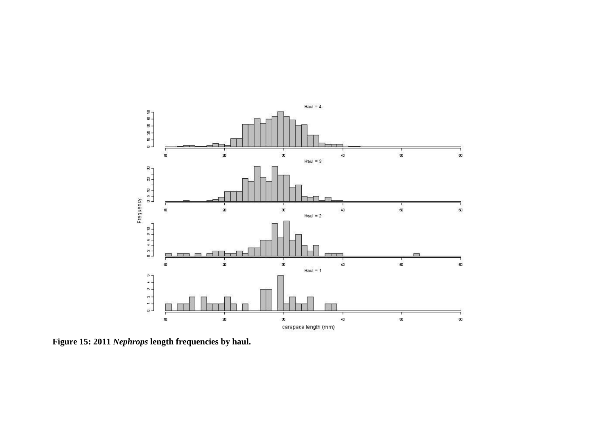

**Figure 15: 2011** *Nephrops* **length frequencies by haul.**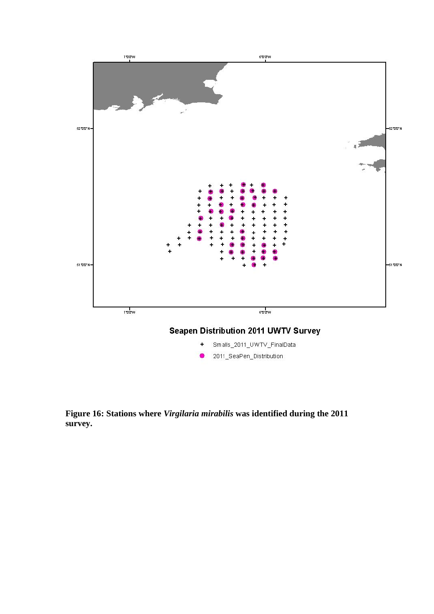

**Figure 16: Stations where** *Virgilaria mirabilis* **was identified during the 2011 survey.**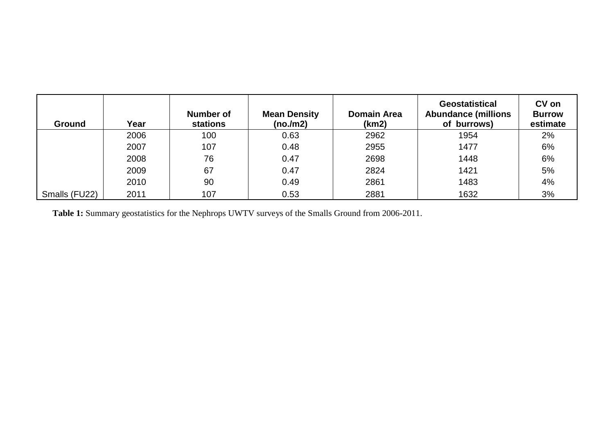| <b>Ground</b> | Year | Number of<br><b>stations</b> | <b>Mean Density</b><br>(no./m2) | <b>Domain Area</b><br>(km2) | <b>Geostatistical</b><br><b>Abundance (millions</b><br>of burrows) | CV on<br><b>Burrow</b><br>estimate |
|---------------|------|------------------------------|---------------------------------|-----------------------------|--------------------------------------------------------------------|------------------------------------|
|               | 2006 | 100                          | 0.63                            | 2962                        | 1954                                                               | 2%                                 |
|               | 2007 | 107                          | 0.48                            | 2955                        | 1477                                                               | 6%                                 |
|               | 2008 | 76                           | 0.47                            | 2698                        | 1448                                                               | 6%                                 |
|               | 2009 | 67                           | 0.47                            | 2824                        | 1421                                                               | 5%                                 |
|               | 2010 | 90                           | 0.49                            | 2861                        | 1483                                                               | 4%                                 |
| Smalls (FU22) | 2011 | 107                          | 0.53                            | 2881                        | 1632                                                               | 3%                                 |

**Table 1:** Summary geostatistics for the Nephrops UWTV surveys of the Smalls Ground from 2006-2011.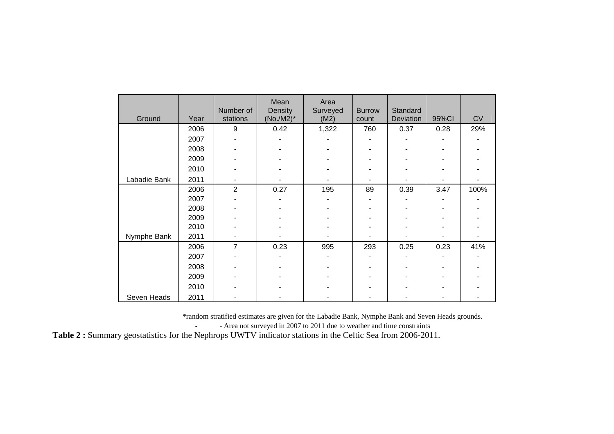| Ground       | Year | Number of<br>stations | Mean<br>Density | Area<br>Surveyed | <b>Burrow</b> | Standard<br>Deviation |       | <b>CV</b> |
|--------------|------|-----------------------|-----------------|------------------|---------------|-----------------------|-------|-----------|
|              |      |                       | $(No./M2)^*$    | (M2)             | count         |                       | 95%CI |           |
|              | 2006 | 9                     | 0.42            | 1,322            | 760           | 0.37                  | 0.28  | 29%       |
|              | 2007 |                       |                 |                  |               |                       |       |           |
|              | 2008 |                       |                 |                  |               |                       |       |           |
|              | 2009 |                       |                 |                  |               |                       |       |           |
|              | 2010 |                       |                 |                  |               |                       |       |           |
| Labadie Bank | 2011 |                       |                 |                  |               |                       |       |           |
|              | 2006 | $\overline{2}$        | 0.27            | 195              | 89            | 0.39                  | 3.47  | 100%      |
|              | 2007 |                       |                 |                  |               |                       |       |           |
|              | 2008 |                       |                 |                  |               |                       |       |           |
|              | 2009 |                       |                 |                  |               |                       |       |           |
|              | 2010 |                       |                 |                  |               |                       |       |           |
| Nymphe Bank  | 2011 |                       |                 |                  |               |                       |       |           |
|              | 2006 | 7                     | 0.23            | 995              | 293           | 0.25                  | 0.23  | 41%       |
|              | 2007 |                       |                 |                  |               |                       |       |           |
|              | 2008 |                       |                 |                  |               |                       |       |           |
|              | 2009 |                       |                 |                  |               |                       |       |           |
|              | 2010 |                       |                 |                  |               |                       |       |           |
| Seven Heads  | 2011 |                       |                 |                  |               |                       |       |           |

\*random stratified estimates are given for the Labadie Bank, Nymphe Bank and Seven Heads grounds.

- - Area not surveyed in 2007 to 2011 due to weather and time constraints

**Table 2 :** Summary geostatistics for the Nephrops UWTV indicator stations in the Celtic Sea from 2006-2011.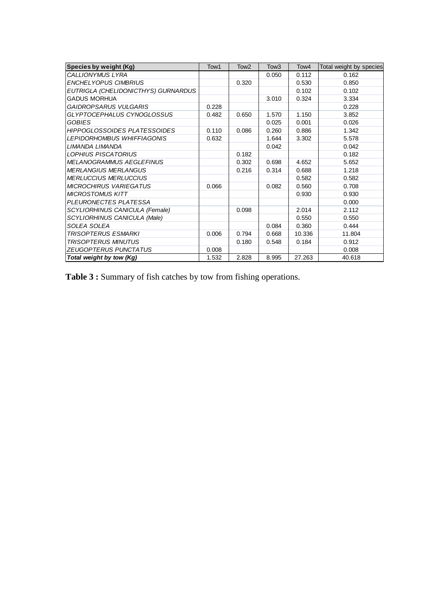| Species by weight (Kg)              | Tow1  | Tow <sub>2</sub> | Tow <sub>3</sub> | Tow <sub>4</sub> | Total weight by species |
|-------------------------------------|-------|------------------|------------------|------------------|-------------------------|
| CALLIONYMUS LYRA                    |       |                  | 0.050            | 0.112            | 0.162                   |
| <b>ENCHELYOPUS CIMBRIUS</b>         |       | 0.320            |                  | 0.530            | 0.850                   |
| EUTRIGLA (CHELIDONICTHYS) GURNARDUS |       |                  |                  | 0.102            | 0.102                   |
| <b>GADUS MORHUA</b>                 |       |                  | 3.010            | 0.324            | 3.334                   |
| GAIDROPSARUS VULGARIS               | 0.228 |                  |                  |                  | 0.228                   |
| GLYPTOCEPHALUS CYNOGLOSSUS          | 0.482 | 0.650            | 1.570            | 1.150            | 3.852                   |
| <b>GOBIES</b>                       |       |                  | 0.025            | 0.001            | 0.026                   |
| <b>HIPPOGLOSSOIDES PLATESSOIDES</b> | 0.110 | 0.086            | 0.260            | 0.886            | 1.342                   |
| LEPIDORHOMBUS WHIFFIAGONIS          | 0.632 |                  | 1.644            | 3.302            | 5.578                   |
| LIMANDA LIMANDA                     |       |                  | 0.042            |                  | 0.042                   |
| <b>LOPHIUS PISCATORIUS</b>          |       | 0.182            |                  |                  | 0.182                   |
| <b>MELANOGRAMMUS AEGLEFINUS</b>     |       | 0.302            | 0.698            | 4.652            | 5.652                   |
| <b>MERLANGIUS MERLANGUS</b>         |       | 0.216            | 0.314            | 0.688            | 1.218                   |
| <b>MERLUCCIUS MERLUCCIUS</b>        |       |                  |                  | 0.582            | 0.582                   |
| <b>MICROCHIRUS VARIEGATUS</b>       | 0.066 |                  | 0.082            | 0.560            | 0.708                   |
| <b>MICROSTOMUS KITT</b>             |       |                  |                  | 0.930            | 0.930                   |
| PLEURONECTES PLATESSA               |       |                  |                  |                  | 0.000                   |
| SCYLIORHINUS CANICULA (Female)      |       | 0.098            |                  | 2.014            | 2.112                   |
| SCYLIORHINUS CANICULA (Male)        |       |                  |                  | 0.550            | 0.550                   |
| <i>SOLEA SOLEA</i>                  |       |                  | 0.084            | 0.360            | 0.444                   |
| <i>TRISOPTERUS ESMARKI</i>          | 0.006 | 0.794            | 0.668            | 10.336           | 11.804                  |
| <b>TRISOPTERUS MINUTUS</b>          |       | 0.180            | 0.548            | 0.184            | 0.912                   |
| ZEUGOPTERUS PUNCTATUS               | 0.008 |                  |                  |                  | 0.008                   |
| Total weight by tow (Kg)            | 1.532 | 2.828            | 8.995            | 27.263           | 40.618                  |

**Table 3 :** Summary of fish catches by tow from fishing operations.